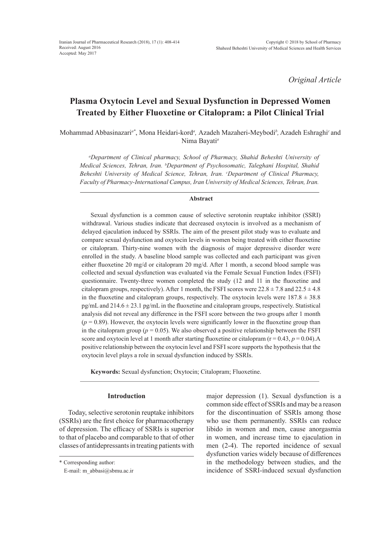*Original Article*

# **Plasma Oxytocin Level and Sexual Dysfunction in Depressed Women Treated by Either Fluoxetine or Citalopram: a Pilot Clinical Trial**

Mohammad Abbasinazari*a\**, Mona Heidari-kord*<sup>a</sup> ,* Azadeh Mazaheri-Meybodi*<sup>b</sup> ,* Azadeh Eshraghi*<sup>c</sup>*and Nima Bayati*<sup>a</sup>*

*a Department of Clinical pharmacy, School of Pharmacy, Shahid Beheshti University of Medical Sciences, Tehran, Iran. b Department of Psychosomatic, Taleghani Hospital, Shahid Beheshti University of Medical Science, Tehran, Iran. c Department of Clinical Pharmacy, Faculty of Pharmacy-International Campus, Iran University of Medical Sciences, Tehran, Iran.*

## **Abstract**

Sexual dysfunction is a common cause of selective serotonin reuptake inhibitor (SSRI) withdrawal. Various studies indicate that decreased oxytocin is involved as a mechanism of delayed ejaculation induced by SSRIs. The aim of the present pilot study was to evaluate and compare sexual dysfunction and oxytocin levels in women being treated with either fluoxetine or citalopram. Thirty-nine women with the diagnosis of major depressive disorder were enrolled in the study. A baseline blood sample was collected and each participant was given either fluoxetine 20 mg/d or citalopram 20 mg/d. After 1 month, a second blood sample was collected and sexual dysfunction was evaluated via the Female Sexual Function Index (FSFI) questionnaire. Twenty-three women completed the study (12 and 11 in the fluoxetine and citalopram groups, respectively). After 1 month, the FSFI scores were  $22.8 \pm 7.8$  and  $22.5 \pm 4.8$ in the fluoxetine and citalopram groups, respectively. The oxytocin levels were  $187.8 \pm 38.8$ pg/mL and  $214.6 \pm 23.1$  pg/mL in the fluoxetine and citalopram groups, respectively. Statistical analysis did not reveal any difference in the FSFI score between the two groups after 1 month  $(p = 0.89)$ . However, the oxytocin levels were significantly lower in the fluoxetine group than in the citalopram group ( $p = 0.05$ ). We also observed a positive relationship between the FSFI score and oxytocin level at 1 month after starting fluoxetine or citalopram ( $r = 0.43$ ,  $p = 0.04$ ).A positive relationship between the oxytocin level and FSFI score supports the hypothesis that the oxytocin level plays a role in sexual dysfunction induced by SSRIs.

**Keywords:** Sexual dysfunction; Oxytocin; Citalopram; Fluoxetine.

# **Introduction**

Today, selective serotonin reuptake inhibitors (SSRIs) are the first choice for pharmacotherapy of depression. The efficacy of SSRIs is superior to that of placebo and comparable to that of other classes of antidepressants in treating patients with major depression (1). Sexual dysfunction is a common side effect of SSRIs and may be a reason for the discontinuation of SSRIs among those who use them permanently. SSRIs can reduce libido in women and men, cause anorgasmia in women, and increase time to ejaculation in men (2-4). The reported incidence of sexual dysfunction varies widely because of differences in the methodology between studies, and the incidence of SSRI-induced sexual dysfunction

<sup>\*</sup> Corresponding author:

E-mail: m\_abbasi@sbmu.ac.ir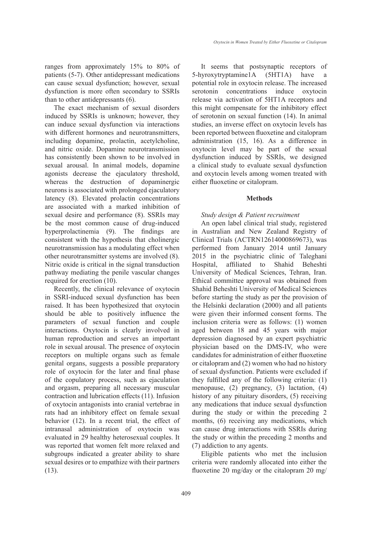than to other antidepressants (6). The exact mechanism of sexual disorders induced by SSRIs is unknown; however, they can induce sexual dysfunction via interactions with different hormones and neurotransmitters, including dopamine, prolactin, acetylcholine, and nitric oxide. Dopamine neurotransmission has consistently been shown to be involved in sexual arousal. In animal models, dopamine agonists decrease the ejaculatory threshold, whereas the destruction of dopaminergic neurons is associated with prolonged ejaculatory latency (8). Elevated prolactin concentrations are associated with a marked inhibition of sexual desire and performance (8). SSRIs may be the most common cause of drug-induced hyperprolactinemia (9). The findings are consistent with the hypothesis that cholinergic neurotransmission has a modulating effect when other neurotransmitter systems are involved (8). Nitric oxide is critical in the signal transduction pathway mediating the penile vascular changes required for erection (10).

Recently, the clinical relevance of oxytocin in SSRI-induced sexual dysfunction has been raised. It has been hypothesized that oxytocin should be able to positively influence the parameters of sexual function and couple interactions. Oxytocin is clearly involved in human reproduction and serves an important role in sexual arousal. The presence of oxytocin receptors on multiple organs such as female genital organs, suggests a possible preparatory role of oxytocin for the later and final phase of the copulatory process, such as ejaculation and orgasm, preparing all necessary muscular contraction and lubrication effects (11). Infusion of oxytocin antagonists into cranial vertebrae in rats had an inhibitory effect on female sexual behavior (12). In a recent trial, the effect of intranasal administration of oxytocin was evaluated in 29 healthy heterosexual couples. It was reported that women felt more relaxed and subgroups indicated a greater ability to share sexual desires or to empathize with their partners (13).

It seems that postsynaptic receptors of 5-hyroxytryptamine1A (5HT1A) have a potential role in oxytocin release. The increased serotonin concentrations induce oxytocin release via activation of 5HT1A receptors and this might compensate for the inhibitory effect of serotonin on sexual function (14). In animal studies, an inverse effect on oxytocin levels has been reported between fluoxetine and citalopram administration (15, 16). As a difference in oxytocin level may be part of the sexual dysfunction induced by SSRIs, we designed a clinical study to evaluate sexual dysfunction and oxytocin levels among women treated with either fluoxetine or citalopram.

## **Methods**

# *Study design & Patient recruitment*

An open label clinical trial study, registered in Australian and New Zealand Registry of Clinical Trials (ACTRN12614000869673), was performed from January 2014 until January 2015 in the psychiatric clinic of Taleghani Hospital, affiliated to Shahid Beheshti University of Medical Sciences, Tehran, Iran. Ethical committee approval was obtained from Shahid Beheshti University of Medical Sciences before starting the study as per the provision of the Helsinki declaration (2000) and all patients were given their informed consent forms. The inclusion criteria were as follows: (1) women aged between 18 and 45 years with major depression diagnosed by an expert psychiatric physician based on the DMS-IV, who were candidates for administration of either fluoxetine or citalopram and (2) women who had no history of sexual dysfunction. Patients were excluded if they fulfilled any of the following criteria: (1) menopause, (2) pregnancy, (3) lactation, (4) history of any pituitary disorders, (5) receiving any medications that induce sexual dysfunction during the study or within the preceding 2 months, (6) receiving any medications, which can cause drug interactions with SSRIs during the study or within the preceding 2 months and (7) addiction to any agents.

Eligible patients who met the inclusion criteria were randomly allocated into either the fluoxetine 20 mg/day or the citalopram 20 mg/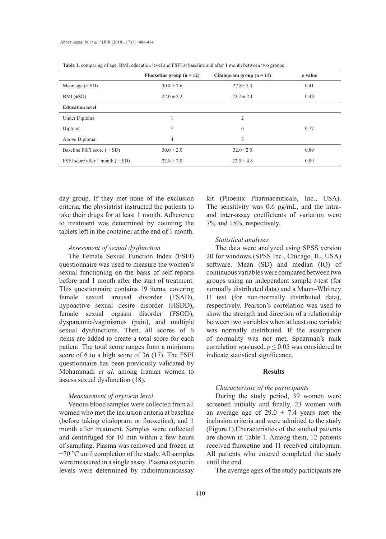|                                      | Fluoxetine group $(n = 12)$ | Citalopram group $(n = 11)$ | $p$ value |
|--------------------------------------|-----------------------------|-----------------------------|-----------|
| Mean age $(\pm SD)$                  | $30.4 + 7.6$                | $27.8 + 7.3$                | 0.41      |
| $BMI (\pm SD)$                       | $22.0 \pm 2.2$              | $22.7 \pm 2.1$              | 0.49      |
| <b>Education level</b>               |                             |                             |           |
| Under Diploma                        |                             | $\overline{2}$              |           |
| Diploma                              | 7                           | 6                           | 0.77      |
| Above Diploma                        | 4                           | 3                           |           |
| Baseline FSFI score $( \pm SD)$      | $30.0 \pm 2.0$              | $32.0 \pm 2.0$              | 0.89      |
| FSFI score after 1 month $( \pm SD)$ | $22.8 \pm 7.8$              | $22.5 \pm 4.8$              | 0.89      |

**Table 1.** comparing of age, BMI, education level and FSFI at baseline and after 1 month between two groups

day group. If they met none of the exclusion criteria, the physiatrist instructed the patients to take their drugs for at least 1 month. Adherence to treatment was determined by counting the tablets left in the container at the end of 1 month.

#### *Assessment of sexual dysfunction*

The Female Sexual Function Index (FSFI) questionnaire was used to measure the women's sexual functioning on the basis of self-reports before and 1 month after the start of treatment. This questionnaire contains 19 items, covering female sexual arousal disorder (FSAD), hypoactive sexual desire disorder (HSDD), female sexual orgasm disorder (FSOD), dyspareunia/vaginismus (pain), and multiple sexual dysfunctions. Then, all scores of 6 items are added to create a total score for each patient. The total score ranges from a minimum score of 6 to a high score of 36 (17). The FSFI questionnaire has been previously validated by Mohammadi *et al*. among Iranian women to assess sexual dysfunction (18).

#### *Measurement of oxytocin level*

Venous blood samples were collected from all women who met the inclusion criteria at baseline (before taking citalopram or fluoxetine), and 1 month after treatment. Samples were collected and centrifuged for 10 min within a few hours of sampling. Plasma was removed and frozen at −70 °C until completion of the study. All samples were measured in a single assay. Plasma oxytocin levels were determined by radioimmunoassay

kit (Phoenix Pharmaceuticals, Inc., USA). The sensitivity was 0.6 pg/mL, and the intraand inter-assay coefficients of variation were 7% and 15%, respectively.

## *Statistical analyses*

The data were analyzed using SPSS version 20 for windows (SPSS Inc., Chicago, IL, USA) software. Mean (SD) and median (IQ) of continuous variables were compared between two groups using an independent sample *t*-test (for normally distributed data) and a Mann–Whitney U test (for non-normally distributed data), respectively. Pearson's correlation was used to show the strength and direction of a relationship between two variables when at least one variable was normally distributed. If the assumption of normality was not met, Spearman's rank correlation was used.  $p \le 0.05$  was considered to indicate statistical significance.

## **Results**

#### *Characteristic of the participants*

During the study period, 39 women were screened initially and finally, 23 women with an average age of  $29.0 \pm 7.4$  years met the inclusion criteria and were admitted to the study (Figure 1).Characteristics of the studied patients are shown in Table 1. Among them, 12 patients received fluoxetine and 11 received citalopram. All patients who entered completed the study until the end.

The average ages of the study participants are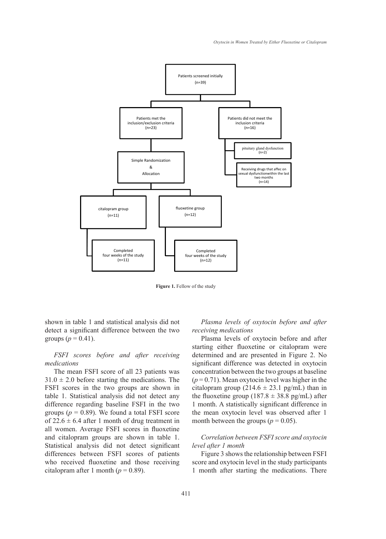

**Figure 1.** Fellow of the study

shown in table 1 and statistical analysis did not detect a significant difference between the two groups ( $p = 0.41$ ).

## *FSFI scores before and after receiving medications*

The mean FSFI score of all 23 patients was  $31.0 \pm 2.0$  before starting the medications. The FSFI scores in the two groups are shown in table 1. Statistical analysis did not detect any difference regarding baseline FSFI in the two groups  $(p = 0.89)$ . We found a total FSFI score of  $22.6 \pm 6.4$  after 1 month of drug treatment in all women. Average FSFI scores in fluoxetine and citalopram groups are shown in table 1. Statistical analysis did not detect significant differences between FSFI scores of patients who received fluoxetine and those receiving citalopram after 1 month ( $p = 0.89$ ).

*Plasma levels of oxytocin before and after receiving medications*

Plasma levels of oxytocin before and after starting either fluoxetine or citalopram were determined and are presented in Figure 2. No significant difference was detected in oxytocin concentration between the two groups at baseline  $(p=0.71)$ . Mean oxytocin level was higher in the citalopram group  $(214.6 \pm 23.1 \text{ pg/mL})$  than in the fluoxetine group (187.8  $\pm$  38.8 pg/mL) after 1 month. A statistically significant difference in the mean oxytocin level was observed after 1 month between the groups ( $p = 0.05$ ).

# *Correlation between FSFI score and oxytocin level after 1 month*

Figure 3 shows the relationship between FSFI score and oxytocin level in the study participants 1 month after starting the medications. There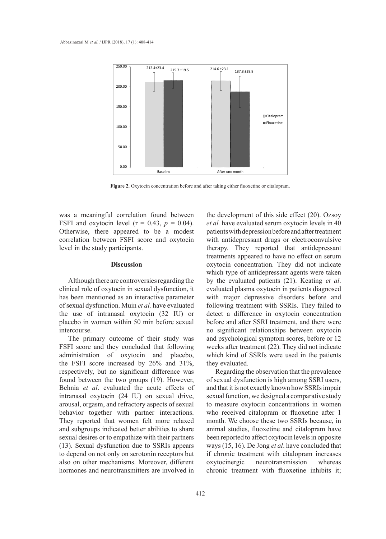

Figure 2. Oxytocin concentration before and after taking either fluoxetine or citalopram.

was a meaningful correlation found between FSFI and oxytocin level  $(r = 0.43, p = 0.04)$ . *et al.* have Otherwise, there appeared to be a modest correlation between FSFI score and oxytocin level in the study participants.

## **Discussion**

Although there are controversies regarding the clinical role of oxytocin in sexual dysfunction, it has been mentioned as an interactive parameter of sexual dysfunction. Muin *et al.* have evaluated the use of intranasal oxytocin (32 IU) or placebo in women within 50 min before sexual intercourse.

The primary outcome of their study was FSFI score and they concluded that following administration of oxytocin and placebo, the FSFI score increased by 26% and 31%, respectively, but no significant difference was found between the two groups (19). However, Behnia *et al*. evaluated the acute effects of intranasal oxytocin (24 IU) on sexual drive, arousal, orgasm, and refractory aspects of sexual behavior together with partner interactions. They reported that women felt more relaxed and subgroups indicated better abilities to share sexual desires or to empathize with their partners (13). Sexual dysfunction due to SSRIs appears to depend on not only on serotonin receptors but also on other mechanisms. Moreover, different hormones and neurotransmitters are involved in

the development of this side effect (20). Ozsoy *et al.* have evaluated serum oxytocin levels in 40 appeared to be a modest patients with depression before and after treatment n FSFI score and oxytocin with antidepressant drugs or electroconvulsive articipants. **Example 1 between** therapy. They reported that antidepressant treatments appeared to have no effect on serum oxytocin concentration. They did not indicate which type of antidepressant agents were taken by the evaluated patients (21). Keating *et al*. evaluated plasma oxytocin in patients diagnosed with major depressive disorders before and following treatment with SSRIs. They failed to detect a difference in oxytocin concentration before and after SSRI treatment, and there were no significant relationships between oxytocin and psychological symptom scores, before or 12 weeks after treatment (22). They did not indicate which kind of SSRIs were used in the patients they evaluated.

> Regarding the observation that the prevalence of sexual dysfunction is high among SSRI users, and that it is not exactly known how SSRIs impair sexual function, we designed a comparative study to measure oxytocin concentrations in women who received citalopram or fluoxetine after 1 month. We choose these two SSRIs because, in animal studies, fluoxetine and citalopram have been reported to affect oxytocin levels in opposite ways (15, 16). De Jong *et al*. have concluded that if chronic treatment with citalopram increases oxytocinergic neurotransmission whereas chronic treatment with fluoxetine inhibits it;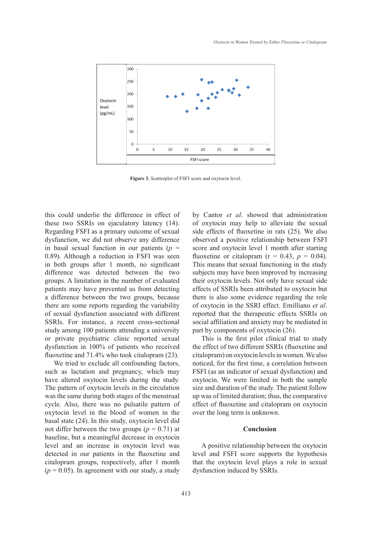

Figure 3. Scatterplot of FSFI score and oxytocin level.

this could underlie the difference in effect of these two SSRIs on ejaculatory latency (14). Regarding FSFI as a primary outcome of sexual dysfunction, we did not observe any difference in basal sexual function in our patients  $(p =$ 0.89). Although a reduction in FSFI was seen in both groups after 1 month, no significant difference was detected between the two groups. A limitation in the number of evaluated patients may have prevented us from detecting a difference between the two groups, because there are some reports regarding the variability of sexual dysfunction associated with different SSRIs. For instance, a recent cross-sectional study among 100 patients attending a university or private psychiatric clinic reported sexual dysfunction in 100% of patients who received fluoxetine and 71.4% who took citalopram (23).

We tried to exclude all confounding factors, such as lactation and pregnancy, which may have altered oxytocin levels during the study. The pattern of oxytocin levels in the circulation was the same during both stages of the menstrual cycle. Also, there was no pulsatile pattern of oxytocin level in the blood of women in the basal state (24). In this study, oxytocin level did not differ between the two groups ( $p = 0.71$ ) at baseline, but a meaningful decrease in oxytocin level and an increase in oxytocin level was detected in our patients in the fluoxetine and citalopram groups, respectively, after 1 month  $(p = 0.05)$ . In agreement with our study, a study

by Cantor *et al*. showed that administration of oxytocin may help to alleviate the sexual side effects of fluoxetine in rats (25). We also not observe any difference observed a positive relationship between FSFI tion in our patients  $(p = \text{score} \text{ and } \text{oxytocin} \text{ level 1 month after starting})$ duction in FSFI was seen fluoxetine or citalopram ( $r = 0.43$ ,  $p = 0.04$ ). 1 month, no significant This means that sexual functioning in the study ected between the two subjects may have been improved by increasing n the number of evaluated their oxytocin levels. Not only have sexual side evented us from detecting effects of SSRIs been attributed to oxytocin but the two groups, because there is also some evidence regarding the role is regarding the variability of oxytocin in the SSRI effect. Emilliano *et al.* associated with different reported that the therapeutic effects SSRIs on a recent cross-sectional social affiliation and anxiety may be mediated in ents attending a university part by components of oxytocin (26).

ic clinic reported sexual This is the first pilot clinical trial to study of patients who received the effect of two different SSRIs (fluoxetine and citalopram) on oxytocin levels in women. We also noticed, for the first time, a correlation between FSFI (as an indicator of sexual dysfunction) and oxytocin. We were limited in both the sample size and duration of the study. The patient follow up was of limited duration; thus, the comparative effect of fluoxetine and citalopram on oxytocin over the long term is unknown.

#### **Conclusion**

A positive relationship between the oxytocin level and FSFI score supports the hypothesis that the oxytocin level plays a role in sexual dysfunction induced by SSRIs.